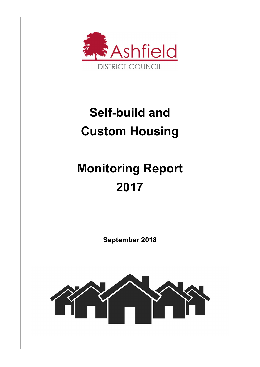

## Self-build and Custom Housing

# Monitoring Report 2017

September 2018

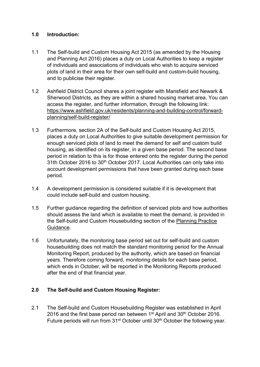#### 1.0 Introduction:

- 1.1 The Self-build and Custom Housing Act 2015 (as amended by the Housing and Planning Act 2016) places a duty on Local Authorities to keep a register of individuals and associations of individuals who wish to acquire serviced plots of land in their area for their own self-build and custom-build housing, and to publicise their register.
- 1.2 Ashfield District Council shares a joint register with Mansfield and Newark & Sherwood Districts, as they are within a shared housing market area. You can access the register, and further information, through the following link: https://www.ashfield.gov.uk/residents/planning-and-building-control/forwardplanning/self-build-register/
- 1.3 Furthermore, section 2A of the Self-build and Custom Housing Act 2015, places a duty on Local Authorities to give suitable development permission for enough serviced plots of land to meet the demand for self and custom build housing, as identified on its register, in a given base period. The second base period in relation to this is for those entered onto the register during the period 31th October 2016 to 30<sup>th</sup> October 2017. Local Authorities can only take into account development permissions that have been granted during each base period.
- 1.4 A development permission is considered suitable if it is development that could include self-build and custom housing.
- 1.5 Further guidance regarding the definition of serviced plots and how authorities should assess the land which is available to meet the demand, is provided in the Self-build and Custom Housebuilding section of the Planning Practice Guidance.
- 1.6 Unfortunately, the monitoring base period set out for self-build and custom housebuilding does not match the standard monitoring period for the Annual Monitoring Report, produced by the authority, which are based on financial years. Therefore coming forward, monitoring details for each base period, which ends in October, will be reported in the Monitoring Reports produced after the end of that financial year.

### 2.0 The Self-build and Custom Housing Register:

2.1 The Self-build and Custom Housebuilding Register was established in April 2016 and the first base period ran between  $1<sup>st</sup>$  April and  $30<sup>th</sup>$  October 2016. Future periods will run from 31<sup>st</sup> October until 30<sup>th</sup> October the followina vear.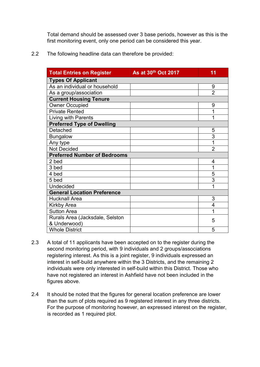Total demand should be assessed over 3 base periods, however as this is the first monitoring event, only one period can be considered this year.

2.2 The following headline data can therefore be provided:

| <b>Total Entries on Register</b>    | As at 30th Oct 2017 | 11             |
|-------------------------------------|---------------------|----------------|
| <b>Types Of Applicant</b>           |                     |                |
| As an individual or household       |                     | 9              |
| As a group/association              |                     | $\overline{2}$ |
| <b>Current Housing Tenure</b>       |                     |                |
| <b>Owner Occupied</b>               |                     | 9              |
| <b>Private Rented</b>               |                     | 1              |
| Living with Parents                 |                     | 1              |
| <b>Preferred Type of Dwelling</b>   |                     |                |
| Detached                            |                     | 5              |
| <b>Bungalow</b>                     |                     | $\overline{3}$ |
| Any type                            |                     | 1              |
| <b>Not Decided</b>                  |                     | $\overline{2}$ |
| <b>Preferred Number of Bedrooms</b> |                     |                |
| 2 bed                               |                     | 4              |
| 3 bed                               |                     | 1              |
| 4 bed                               |                     | 5              |
| 5 bed                               |                     | 3              |
| <b>Undecided</b>                    |                     | 1              |
| <b>General Location Preference</b>  |                     |                |
| <b>Hucknall Area</b>                |                     | 3              |
| <b>Kirkby Area</b>                  |                     | 4              |
| <b>Sutton Area</b>                  |                     | 1              |
| Rurals Area (Jacksdale, Selston     |                     | 5              |
| & Underwood)                        |                     |                |
| <b>Whole District</b>               |                     | 5              |

- 2.3 A total of 11 applicants have been accepted on to the register during the second monitoring period, with 9 individuals and 2 groups/associations registering interest. As this is a joint register, 9 individuals expressed an interest in self-build anywhere within the 3 Districts, and the remaining 2 individuals were only interested in self-build within this District. Those who have not registered an interest in Ashfield have not been included in the figures above.
- 2.4 It should be noted that the figures for general location preference are lower than the sum of plots required as 9 registered interest in any three districts. For the purpose of monitoring however, an expressed interest on the register, is recorded as 1 required plot.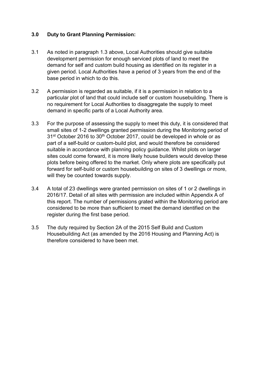#### 3.0 Duty to Grant Planning Permission:

- 3.1 As noted in paragraph 1.3 above, Local Authorities should give suitable development permission for enough serviced plots of land to meet the demand for self and custom build housing as identified on its register in a given period. Local Authorities have a period of 3 years from the end of the base period in which to do this.
- 3.2 A permission is regarded as suitable, if it is a permission in relation to a particular plot of land that could include self or custom housebuilding. There is no requirement for Local Authorities to disaggregate the supply to meet demand in specific parts of a Local Authority area.
- 3.3 For the purpose of assessing the supply to meet this duty, it is considered that small sites of 1-2 dwellings granted permission during the Monitoring period of 31<sup>st</sup> October 2016 to 30<sup>th</sup> October 2017, could be developed in whole or as part of a self-build or custom-build plot, and would therefore be considered suitable in accordance with planning policy guidance. Whilst plots on larger sites could come forward, it is more likely house builders would develop these plots before being offered to the market. Only where plots are specifically put forward for self-build or custom housebuilding on sites of 3 dwellings or more, will they be counted towards supply.
- 3.4 A total of 23 dwellings were granted permission on sites of 1 or 2 dwellings in 2016/17. Detail of all sites with permission are included within Appendix A of this report. The number of permissions grated within the Monitoring period are considered to be more than sufficient to meet the demand identified on the register during the first base period.
- 3.5 The duty required by Section 2A of the 2015 Self Build and Custom Housebuilding Act (as amended by the 2016 Housing and Planning Act) is therefore considered to have been met.